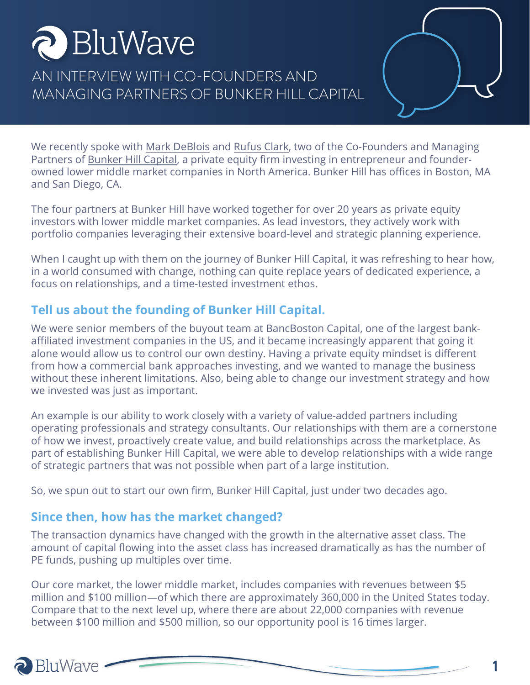# a BluWave

AN INTERVIEW WITH CO-FOUNDERS AND MANAGING PARTNERS OF BUNKER HILL CAPITAL

We recently spoke with [Mark DeBlois](https://www.linkedin.com/in/mark-deblois-92099713/) and [Rufus Clark,](https://www.linkedin.com/in/rufus-clark-832b329/) two of the Co-Founders and Managing Partners of [Bunker Hill Capital,](https://www.bunkerhillcapital.com/) a private equity firm investing in entrepreneur and founderowned lower middle market companies in North America. Bunker Hill has offices in Boston, MA and San Diego, CA.

The four partners at Bunker Hill have worked together for over 20 years as private equity investors with lower middle market companies. As lead investors, they actively work with portfolio companies leveraging their extensive board-level and strategic planning experience.

When I caught up with them on the journey of Bunker Hill Capital, it was refreshing to hear how, in a world consumed with change, nothing can quite replace years of dedicated experience, a focus on relationships, and a time-tested investment ethos.

# **Tell us about the founding of Bunker Hill Capital.**

We were senior members of the buyout team at BancBoston Capital, one of the largest bankaffiliated investment companies in the US, and it became increasingly apparent that going it alone would allow us to control our own destiny. Having a private equity mindset is different from how a commercial bank approaches investing, and we wanted to manage the business without these inherent limitations. Also, being able to change our investment strategy and how we invested was just as important.

An example is our ability to work closely with a variety of value-added partners including operating professionals and strategy consultants. Our relationships with them are a cornerstone of how we invest, proactively create value, and build relationships across the marketplace. As part of establishing Bunker Hill Capital, we were able to develop relationships with a wide range of strategic partners that was not possible when part of a large institution.

So, we spun out to start our own firm, Bunker Hill Capital, just under two decades ago.

## **Since then, how has the market changed?**

The transaction dynamics have changed with the growth in the alternative asset class. The amount of capital flowing into the asset class has increased dramatically as has the number of PE funds, pushing up multiples over time.

Our core market, the lower middle market, includes companies with revenues between \$5 million and \$100 million—of which there are approximately 360,000 in the United States today. Compare that to the next level up, where there are about 22,000 companies with revenue between \$100 million and \$500 million, so our opportunity pool is 16 times larger.

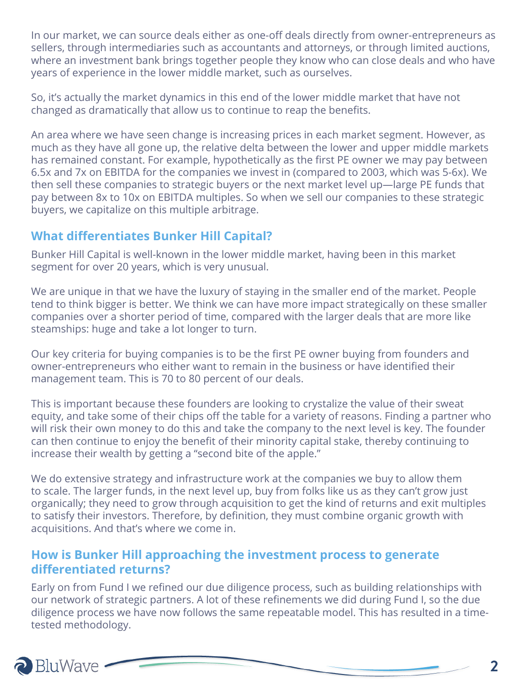In our market, we can source deals either as one-off deals directly from owner-entrepreneurs as sellers, through intermediaries such as accountants and attorneys, or through limited auctions, where an investment bank brings together people they know who can close deals and who have years of experience in the lower middle market, such as ourselves.

So, it's actually the market dynamics in this end of the lower middle market that have not changed as dramatically that allow us to continue to reap the benefits.

An area where we have seen change is increasing prices in each market segment. However, as much as they have all gone up, the relative delta between the lower and upper middle markets has remained constant. For example, hypothetically as the first PE owner we may pay between 6.5x and 7x on EBITDA for the companies we invest in (compared to 2003, which was 5-6x). We then sell these companies to strategic buyers or the next market level up—large PE funds that pay between 8x to 10x on EBITDA multiples. So when we sell our companies to these strategic buyers, we capitalize on this multiple arbitrage.

## **What differentiates Bunker Hill Capital?**

Bunker Hill Capital is well-known in the lower middle market, having been in this market segment for over 20 years, which is very unusual.

We are unique in that we have the luxury of staying in the smaller end of the market. People tend to think bigger is better. We think we can have more impact strategically on these smaller companies over a shorter period of time, compared with the larger deals that are more like steamships: huge and take a lot longer to turn.

Our key criteria for buying companies is to be the first PE owner buying from founders and owner-entrepreneurs who either want to remain in the business or have identified their management team. This is 70 to 80 percent of our deals.

This is important because these founders are looking to crystalize the value of their sweat equity, and take some of their chips off the table for a variety of reasons. Finding a partner who will risk their own money to do this and take the company to the next level is key. The founder can then continue to enjoy the benefit of their minority capital stake, thereby continuing to increase their wealth by getting a "second bite of the apple."

We do extensive strategy and infrastructure work at the companies we buy to allow them to scale. The larger funds, in the next level up, buy from folks like us as they can't grow just organically; they need to grow through acquisition to get the kind of returns and exit multiples to satisfy their investors. Therefore, by definition, they must combine organic growth with acquisitions. And that's where we come in.

#### **How is Bunker Hill approaching the investment process to generate differentiated returns?**

Early on from Fund I we refined our due diligence process, such as building relationships with our network of strategic partners. A lot of these refinements we did during Fund I, so the due diligence process we have now follows the same repeatable model. This has resulted in a timetested methodology.

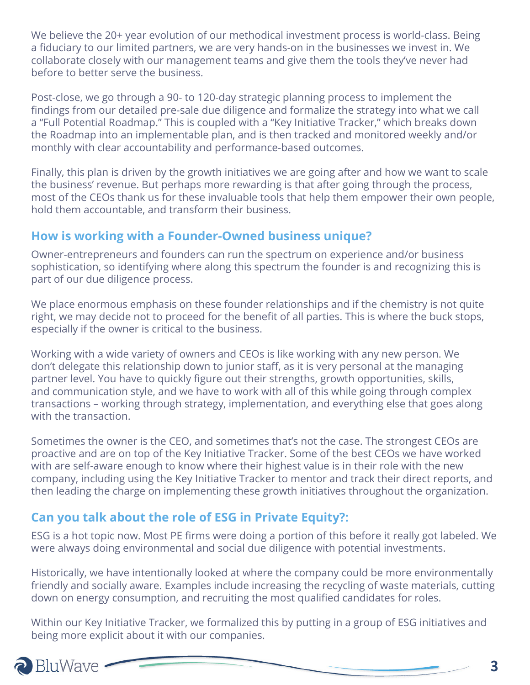We believe the 20+ year evolution of our methodical investment process is world-class. Being a fiduciary to our limited partners, we are very hands-on in the businesses we invest in. We collaborate closely with our management teams and give them the tools they've never had before to better serve the business.

Post-close, we go through a 90- to 120-day strategic planning process to implement the findings from our detailed pre-sale due diligence and formalize the strategy into what we call a "Full Potential Roadmap." This is coupled with a "Key Initiative Tracker," which breaks down the Roadmap into an implementable plan, and is then tracked and monitored weekly and/or monthly with clear accountability and performance-based outcomes.

Finally, this plan is driven by the growth initiatives we are going after and how we want to scale the business' revenue. But perhaps more rewarding is that after going through the process, most of the CEOs thank us for these invaluable tools that help them empower their own people, hold them accountable, and transform their business.

#### **How is working with a Founder-Owned business unique?**

Owner-entrepreneurs and founders can run the spectrum on experience and/or business sophistication, so identifying where along this spectrum the founder is and recognizing this is part of our due diligence process.

We place enormous emphasis on these founder relationships and if the chemistry is not quite right, we may decide not to proceed for the benefit of all parties. This is where the buck stops, especially if the owner is critical to the business.

Working with a wide variety of owners and CEOs is like working with any new person. We don't delegate this relationship down to junior staff, as it is very personal at the managing partner level. You have to quickly figure out their strengths, growth opportunities, skills, and communication style, and we have to work with all of this while going through complex transactions – working through strategy, implementation, and everything else that goes along with the transaction.

Sometimes the owner is the CEO, and sometimes that's not the case. The strongest CEOs are proactive and are on top of the Key Initiative Tracker. Some of the best CEOs we have worked with are self-aware enough to know where their highest value is in their role with the new company, including using the Key Initiative Tracker to mentor and track their direct reports, and then leading the charge on implementing these growth initiatives throughout the organization.

## **Can you talk about the role of ESG in Private Equity?:**

ESG is a hot topic now. Most PE firms were doing a portion of this before it really got labeled. We were always doing environmental and social due diligence with potential investments.

Historically, we have intentionally looked at where the company could be more environmentally friendly and socially aware. Examples include increasing the recycling of waste materials, cutting down on energy consumption, and recruiting the most qualified candidates for roles.

Within our Key Initiative Tracker, we formalized this by putting in a group of ESG initiatives and being more explicit about it with our companies.